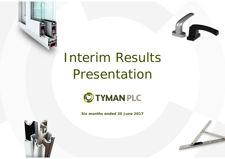



# Interim Results Presentation



**Six months ended 30 June 2017**

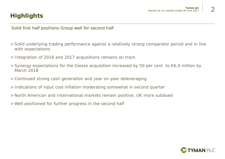## **Highlights**

Solid first half positions Group well for second half

- > Solid underlying trading performance against a relatively strong comparator period and in line with expectations
- > Integration of 2016 and 2017 acquisitions remains on track
- > Synergy expectations for the Giesse acquisition increased by 50 per cent. to €6.0 million by March 2018
- > Continued strong cash generation and year on year deleveraging
- > Indications of input cost inflation moderating somewhat in second quarter
- > North American and International markets remain positive, UK more subdued
- > Well positioned for further progress in the second half

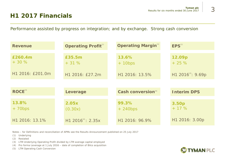## **H1 2017 Financials**

Performance assisted by progress on integration; and by exchange. Strong cash conversion

| <b>Revenue</b>                            | <b>Operating Profit</b> <sup>(1)</sup> | <b>Operating Margin</b> <sup>(1)</sup> | EPS <sup>(1)</sup>             |
|-------------------------------------------|----------------------------------------|----------------------------------------|--------------------------------|
| £260.4m<br>$+30%$                         | £35.5m<br>$+31%$                       | 13.6%<br>$+ 10bps$                     | 12.09p<br>$+25%$               |
| H1 2016: £201.0m                          | H1 2016: £27.2m                        | H1 2016: 13.5%                         | H1 2016 <sup>(2)</sup> : 9.69p |
|                                           |                                        |                                        |                                |
| $\mathsf{ROCE}^{\scriptscriptstyle{(3)}}$ | Leverage                               | Cash conversion(5)                     | <b>Interim DPS</b>             |
| 13.8%<br>$+ 70bps$                        | 2.05x<br>(0.30x)                       | 99.3%<br>$+ 240bps$                    | 3.50p<br>$+ 17 \%$             |
| H1 2016: 13.1%                            | H1 2016 <sup>(4)</sup> : 2.35x         | H1 2016: 96.9%                         | H1 2016: 3.00p                 |

*Notes – for Definitions and reconciliation of APMs see the Results Announcement published on 25 July 2017*

*(1) Underlying*

*(2) Restated*

- *(3) LTM Underlying Operating Profit divided by LTM average capital employed*
- *(4) Pro forma Leverage at 1 July 2016 – date of completion of Bilco acquisition*

*(5) LTM Operating Cash Conversion*

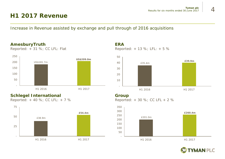## **H1 2017 Revenue**

*Reported: + 31 %; CC LFL: Flat*

**AmesburyTruth** 

Increase in Revenue assisted by exchange and pull through of 2016 acquisitions

#### US\$181.7m**US\$209.0m**100150200250



50



H1 2016 H1 2017

#### **ERA**

*Reported: + 13 %; LFL: + 5 %*



#### **Group**

*Reported: + 30 %; CC LFL + 2 %*



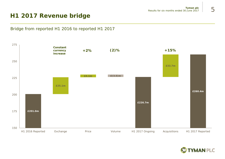## **H1 2017 Revenue bridge**

#### Bridge from reported H1 2016 to reported H1 2017





5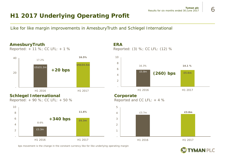## **H1 2017 Underlying Operating Profit**

Like for like margin improvements in AmesburyTruth and Schlegel International

#### **AmesburyTruth**

*Reported: + 11 %; CC LFL: + 1 %*



#### **Schlegel International**

*Reported: + 90 %; CC LFL: + 50 %* 



*bps movement is the change in the constant currency like for like underlying operating margin*

#### **ERA**

*Reported: (3) %; CC LFL: (12) %*



#### **Corporate**

*Reported and CC LFL: + 4 %*



**MAN PLC**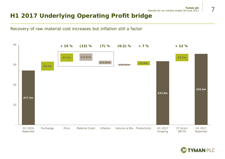## **H1 2017 Underlying Operating Profit bridge**

Recovery of raw material cost increases but inflation still a factor



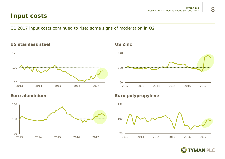## **Input costs**

Q1 2017 input costs continued to rise; some signs of moderation in Q2

#### **US stainless steel US Zinc**





#### **Euro aluminium**



#### **Euro polypropylene**





##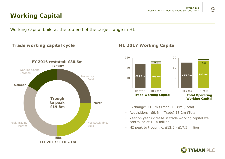## **Working Capital**

Working capital build at the top end of the target range in H1

### **Trade working capital cycle**



#### **H1 2017 Working Capital**



- Exchange: £1.1m (Trade) £1.8m (Total)
- Acquisitions: £9.4m (Trade) £3.2m (Total)
- Year on year increase in trade working capital well controlled at £1.4 million
- H2 peak to trough: c. £12.5 £17.5 million

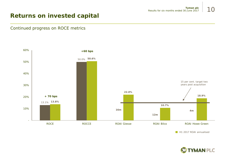## **Returns on invested capital**

#### Continued progress on ROCE metrics



H1 2017 ROAI annualised

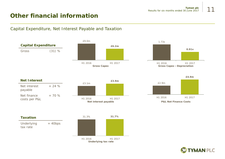## **Other financial information**

#### Capital Expenditure, Net Interest Payable and Taxation



**YMAN PLC**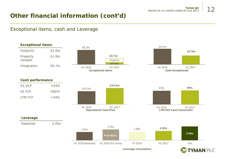## **Other financial information (cont'd)**

#### Exceptional items, cash and Leverage

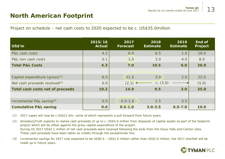## **North American Footprint**

Project on schedule – net cash costs to 2020 expected to be c. US\$35.0million

| <b>US\$'m</b>                             | 2015/16<br><b>Actual</b> | 2017<br><b>Forecast</b> | 2018<br><b>Estimate</b> | 2019<br><b>Estimate</b> | End of<br>Project |
|-------------------------------------------|--------------------------|-------------------------|-------------------------|-------------------------|-------------------|
| P&L cash costs                            | 4.2                      | 6.0                     | 6.5                     | 1.0                     | 18.0              |
| P&L non cash costs                        | 0.1                      | 1.0                     | 3.0                     | 4.0                     | 8.0               |
| <b>Total P&amp;L Costs</b>                | 4.3                      | 7.0                     | 10.5                    | 6.0                     | 26.0              |
|                                           |                          |                         |                         |                         |                   |
| Capital expenditure $(gross)^{(1)}$       | 6.0                      | 11.0                    | 3.0                     | 2.0                     | 22.0              |
| Net cash proceeds received <sup>(2)</sup> | 0.0                      | $(2.1)$ $\triangleleft$ | C. (3.0)                |                         | (5.0)             |
| Total cash costs net of proceeds          | 10.2                     | 14.9                    | 9.5                     | 3.0                     | 35.0              |
|                                           |                          |                         |                         |                         |                   |
| Incremental P&L saving <sup>(3)</sup>     | 0.0                      | $0.5 - 1.0$             | 2.5                     | 3.5                     |                   |
| <b>Cumulative P&amp;L saving</b>          | 0.0                      | $0.5 - 1.0$             | $3.0 - 3.5$             | $6.5 - 7.0$             | 10.0              |

*(1) 2017 capex will now be c.US\$11.0m; some of which represents a pull forward from future years.*

*(2) AmesburyTruth expects to realise cash proceeds of up to c. US\$5.0 million from disposals of capital assets as part of the footprint project which will be offset against the gross capital expenditure of the project. During H1 2017 US\$2.1 million of net cash proceeds were received following the exits from the Sioux Falls and Canton sites. These cash proceeds have been taken as credits through the exceptionals line.*

*(3) Incremental savings for 2017 now expected to be US\$0.5 – US\$1.0 million rather than US\$2.0 million; the 2017 shortfall will be made up in future years.*

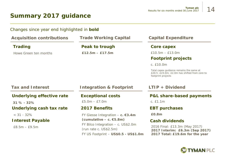## **Summary 2017 guidance**

#### Changes since year end highlighted in **bold**

| <b>Acquisition contributions</b> | <b>Trade Working Capital</b>                                                                          | <b>Capital Expenditure</b>                                                                                      |  |  |
|----------------------------------|-------------------------------------------------------------------------------------------------------|-----------------------------------------------------------------------------------------------------------------|--|--|
| <b>Trading</b>                   | Peak to trough                                                                                        | Core capex                                                                                                      |  |  |
| Howe Green ten months            | $£12.5m - £17.5m$                                                                                     | $£10.5m - £13.0m$                                                                                               |  |  |
|                                  |                                                                                                       | <b>Footprint projects</b>                                                                                       |  |  |
|                                  |                                                                                                       | c. £10.0m                                                                                                       |  |  |
|                                  |                                                                                                       | Total capex guidance remains the same at<br>£20.5 -£23.0m; £2.0m has shifted from core to<br>footprint projects |  |  |
| <b>Tax and Interest</b>          | <b>Integration &amp; Footprint</b>                                                                    | $LTIP + Dividend$                                                                                               |  |  |
| Underlying effective rate        | <b>Exceptional costs</b>                                                                              | <b>P&amp;L share-based payments</b>                                                                             |  |  |
| $31\% - 32\%$                    | $£5.0m - £7.0m$                                                                                       | c. £1.1m                                                                                                        |  |  |
| Underlying cash tax rate         | <b>2017 Benefits</b>                                                                                  | <b>EBT purchases</b>                                                                                            |  |  |
| $< 31 - 32\%$                    | FY Giesse Integration – c. €3.4m                                                                      | £0.8m                                                                                                           |  |  |
| <b>Interest Payable</b>          | $(cumulative - c. \epsilon 5.8m)$                                                                     | <b>Cash dividends</b>                                                                                           |  |  |
| $E8.5m - E9.5m$                  | FY Bilco Integration – c. US\$2.0m<br>(run rate c. US \$2.5m)<br>FY US Footprint - US\$0.5 - US\$1.0m | 2016 Final: £13.3m (May 2017)<br>2017 Interim: £6.3m (Sep 2017)<br>2017 Total: £19.6m for the year              |  |  |

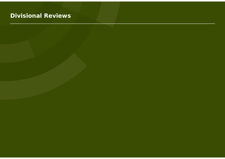## **Divisional Reviews**

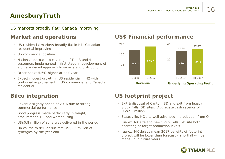## **AmesburyTruth**

#### US markets broadly flat; Canada improving

- US residential markets broadly flat in H1; Canadian residential improving
- US commercial positive
- National approach to coverage of Tier 3 and 4 customers implemented – first stage in development of a differentiated approach to service and distribution
- Order books 5.6% higher at half year
- Expect modest growth in US residential in H2 with continued improvement in US commercial and Canadian residential

- Revenue slightly ahead of 2016 due to strong commercial performance
- Good progress made particularly in freight, procurement, HR and warehousing
- US\$0.8 million of synergies delivered in the period
- • On course to deliver run rate US\$2.5 million of synergies by the year end

## **Market and operations US\$ Financial performance**



## **Bilco integration US footprint project**

- Exit & disposal of Canton, SD and exit from legacy Sioux Falls, SD sites. Aggregate cash receipts of US\$2.1 million
- Statesville, NC site well advanced production from Q4
- Juarez, MX site and new Sioux Falls, SD site both operating at target production levels
- Juarez, MX delays mean 2017 benefits of footprint project will be lower than forecast – shortfall will be made up in future years

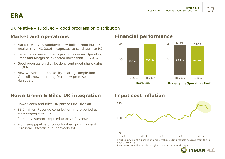## **ERA**

#### UK relatively subdued – good progress on distribution

#### **Market and operations Financial performance**

- Market relatively subdued; new build strong but RMI weaker than H1 2016 – expected to continue into H2
- Revenue increased due to pricing however Operating Profit and Margin as expected lower than H1 2016
- Good progress on distribution; continued share gains in OEM
- New Wolverhampton facility nearing completion; Ventrolla now operating from new premises in Harrogate

### **Howe Green & Bilco UK integration Input cost inflation**

- Howe Green and Bilco UK part of ERA Division
- £3.0 million Revenue contribution in the period at encouraging margins
- •Some investment required to drive Revenue
- Promising pipeline of opportunities going forward (Crossrail, Westfield, supermarkets)





*Raw materials still materially higher than twelve months ago*

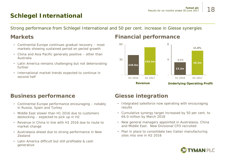## **Schlegel International**

Strong performance from Schlegel International and 50 per cent. increase in Giesse synergies

### **Markets**

- Continental Europe continues gradual recovery most markets showing sustained period on period growth
- China and Asia Pacific generally positive other than Australia
- Latin America remains challenging but not deteriorating further
- International market trends expected to continue in second half

## **Financial performance**



## **Business performance Giesse integration**

- Continental Europe performance encouraging notably in Russia, Spain and Turkey
- Middle East slower than H1 2016 due to customers destocking – expected to pick up in H2
- Revenue in China in line with H1 2016 due to route to market change
- Australasia ahead due to strong performance in New Zealand
- Latin America difficult but still profitable & cash generative

- Integrated salesforce now operating with encouraging results
- Cumulative synergy target increased by 50 per cent. to €6.0 million by March 2018
- New general managers appointed in Australasia, China and Middle East. New Divisional CFO recruited
- Plan in place to consolidate two Italian manufacturing sites into one in H2 2016

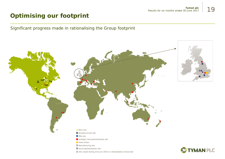## **Optimising our footprint**

#### Significant progress made in rationalising the Group footprint

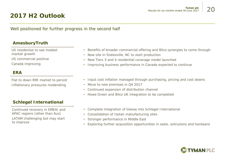## **2017 H2 Outlook**

#### Well positioned for further progress in the second half

#### **AmesburyTruth**

US residential to see modest market growth US commercial positive Canada improving

#### **ERA**

Flat to down RMI market to persist Inflationary pressures moderating

#### **Schlegel International**

Continued recovery in EMEAI and APAC regions (other than Aus)

LATAM challenging but may start to improve

- Benefits of broader commercial offering and Bilco synergies to come through
- New site in Statesville, NC to start production
- New Tiers 3 and 4 residential coverage model launched
- Improving business performance in Canada expected to continue
- Input cost inflation managed through purchasing, pricing and cost downs
- Move to new premises in Q4 2017
- Continued expansion of distribution channel
- Howe Green and Bilco UK integration to be completed
- Complete integration of Giesse into Schlegel International
- Consolidation of Italian manufacturing sites
- Stronger performance in Middle East
- Exploring further acquisition opportunities in seals, extrusions and hardware

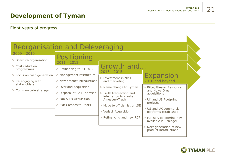## **Development of Tyman**

#### Eight years of progress

| $2009 - 2010$                                                                     |                                                                                                                                       |                                                                                                                                                                        |                                                                                                                                                                  |
|-----------------------------------------------------------------------------------|---------------------------------------------------------------------------------------------------------------------------------------|------------------------------------------------------------------------------------------------------------------------------------------------------------------------|------------------------------------------------------------------------------------------------------------------------------------------------------------------|
| Board re-organisation<br>Cost reduction<br>programmes<br>Focus on cash generation | Positioning<br>$2011 - 2012$<br>Refinancing to H1 2017<br>Management restructure                                                      | Growth and<br>$2013 - 2015$<br>Investment in NPD                                                                                                                       | Expansion                                                                                                                                                        |
| Re-engaging with<br>stakeholders<br>Communicate strategy                          | New product introductions<br>Overland Acquisition<br>Disposal of Gall Thomson<br>Fab & Fix Acquisition<br><b>Exit Composite Doors</b> | and marketing<br>Name change to Tyman<br>Truth transaction and<br>integration to create<br>AmesburyTruth<br>Move to official list of LSE<br><b>Vedasil Acquisition</b> | 2016 and beyond<br>Bilco, Giesse, Response<br>and Howe Green<br>acquisitions<br>UK and US Footprint<br>projects<br>US and UK commercial<br>platforms established |
|                                                                                   |                                                                                                                                       | Refinancing and new RCF                                                                                                                                                | Full service offering now<br>available in Schlegel<br>Next generation of new<br>product introductions                                                            |

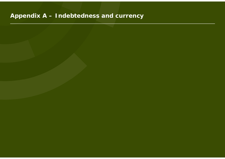## **Appendix A – Indebtedness and currency**

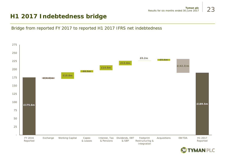## **H1 2017 Indebtedness bridge**

#### Bridge from reported FY 2017 to reported H1 2017 IFRS net indebtedness



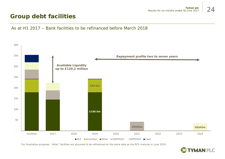## **Group debt facilities**

#### As at H1 2017 – Bank facilities to be refinanced before March 2018



*For illustrative purposes, "other" facilities are assumed to be refinanced on the same date as the RCF matures in June 2019*

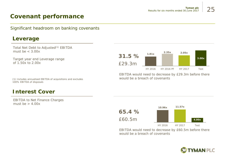## **Covenant performance**

Significant headroom on banking covenants

### **Leverage**

Total Net Debt to Adjusted<sup>(1)</sup> EBITDA must be  $<$  3.00 $x$ 

Target year end Leverage range of 1.50x to 2.00x



EBITDA would need to decrease by £29.3m before there would be a breach of covenants

**65.4 %**£60.5m**10.96x 11.57x 4.00x**HY 2016 HY 2017 Test

EBITDA would need to decrease by £60.5m before there would be a breach of covenants



(1) Includes annualised EBITDA of acquisitions and excludes 100% EBITDA of disposals

## **Interest Cover**

EBITDA to Net Finance Charges must be  $> 4.00x$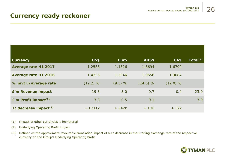## **Currency ready reckoner**

| <b>Currency</b>                    | <b>US\$</b>  | <b>Euro</b> | AUS\$    | CA\$     | Total <sup>(1)</sup> |
|------------------------------------|--------------|-------------|----------|----------|----------------------|
| <b>Average rate H1 2017</b>        | 1.2586       | 1.1626      | 1.6694   | 1.6799   |                      |
| Average rate H1 2016               | 1.4336       | 1.2846      | 1.9556   | 1.9084   |                      |
| % mvt in average rate              | (12.2) %     | $(9.5) \%$  | (14.6) % | (12.0) % |                      |
| <b>f'm Revenue impact</b>          | 19.8         | 3.0         | 0.7      | 0.4      | 23.9                 |
| $E'm$ Profit impact <sup>(2)</sup> | 3.3          | 0.5         | 0.1      | ۰.       | 3.9                  |
| 1c decrease impact $(3)$           | $+$ £211 $k$ | $+$ £42 $k$ | $+ E3k$  | $+ E2k$  |                      |

*(1) Impact of other currencies is immaterial*

- *(2) Underlying Operating Profit impact*
- *(3) Defined as the approximate favourable translation impact of a 1c decrease in the Sterling exchange rate of the respective currency on the Group's Underlying Operating Profit*

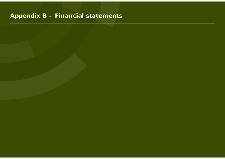## **Appendix B – Financial statements**

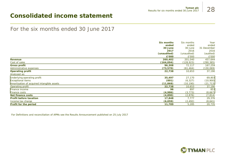## **Consolidated income statement**

### For the six months ended 30 June 2017

|                                            | <b>Six months</b> | Six months  | Year        |
|--------------------------------------------|-------------------|-------------|-------------|
|                                            | ended             | ended       | ended       |
|                                            | 30 June           | 30 June     | 31 December |
|                                            | 2017              | 2016        | 2016        |
|                                            | (unaudited)       | (unaudited) | (audited)   |
|                                            | £'000             | £'000       | £'000       |
| <b>Revenue</b>                             | 260,402           | 201,040     | 457,644     |
| Cost of sales                              | (164, 094)        | (128, 923)  | (290, 385)  |
| <b>Gross profit</b>                        | 96,308            | 72,117      | 167,259     |
| Administrative expenses                    | (73, 570)         | (61, 464)   | (130,069)   |
| <b>Operating profit</b>                    | 22,738            | 10,653      | 37,190      |
| Analysed as:                               |                   |             |             |
| Underlying operating profit                | 35,497            | 27,170      | 69,803      |
| <b>Exceptional items</b>                   | (891)             | (6, 327)    | (10,900)    |
| Amortisation of acquired intangible assets | (11, 868)         | (10, 190)   | (21, 713)   |
| Operating profit                           | 22,738            | 10,653      | 37,190      |
| Finance income                             | 96                | 897         | 853         |
| <b>Finance costs</b>                       | (4,986)           | (3, 773)    | (8,667)     |
| <b>Net finance costs</b>                   | (4,890)           | (2,876)     | (7, 814)    |
| <b>Profit before taxation</b>              | 17,848            | 7,777       | 29,376      |
| Income tax charge                          | (6,059)           | (2, 492)    | (8,641)     |
| Profit for the period                      | 11,789            | 5,285       | 20,735      |

For Definitions and reconciliation of APMs see the Results Announcement published on 25 July 2017

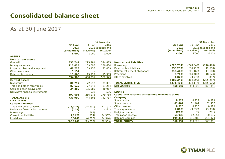## **Consolidated balance sheet**

### As at 30 June 2017

|                                  |             |             | 31 December       |                                                    |             |             | 31 December       |
|----------------------------------|-------------|-------------|-------------------|----------------------------------------------------|-------------|-------------|-------------------|
|                                  | 30 June     | 30 June     | 2016              |                                                    | 30 June     | 30 June     | 2016              |
|                                  | 2017        |             | 2016 (audited and |                                                    | 2017        |             | 2016 (audited and |
|                                  | (unaudited) | (unaudited) | restated)         |                                                    | (unaudited) | (unaudited) | restated)         |
|                                  | £'000       | £'000       | £'000             |                                                    | £'000       | £'000       | £'000             |
| <b>ASSETS</b>                    |             |             |                   |                                                    |             |             |                   |
| <b>Non-current assets</b>        |             |             |                   |                                                    |             |             |                   |
| Goodwill                         | 333,741     | 293,781     | 344,873           | <b>Non-current liabilities</b>                     |             |             |                   |
| Intangible assets                | 117,024     | 109,598     | 130,684           | <b>Borrowings</b>                                  | (223, 734)  | (248, 542)  | (216, 470)        |
| Property, plant and equipment    | 68,723      | 69,135      | 71,459            | Deferred tax liabilities                           | (38, 233)   | (36, 710)   | (42, 658)         |
| Other investment                 | 1,154       |             |                   | Retirement benefit obligations                     | (16, 448)   | (11, 168)   | (17, 108)         |
| Deferred tax assets              | 13,666      | 15,717      | 15,933            | Provisions                                         | (6, 763)    | (14, 400)   | (8, 124)          |
|                                  | 534,308     | 488,231     | 562,949           | Other payables                                     | (1,070)     | (3, 779)    | (897)             |
| <b>Current assets</b>            |             |             |                   |                                                    | (286, 248)  | (314, 599)  | (285, 257)        |
| Inventories                      | 80,797      | 72,512      | 71,091            | <b>TOTAL LIABILITIES</b>                           | (371, 462)  | (394, 177)  | (365, 626)        |
| Trade and other receivables      | 82,612      | 77,242      | 67,254            | <b>NET ASSETS</b>                                  | 360,537     | 350,329     | 377,091           |
| Cash and cash equivalents        | 34,282      | 105,585     | 40,917            |                                                    |             |             |                   |
| Derivative financial instruments |             | 936         | 506               | <b>EQUITY</b>                                      |             |             |                   |
|                                  | 197,691     | 256,275     | 179,768           | Capital and reserves attributable to owners of the |             |             |                   |
| <b>TOTAL ASSETS</b>              | 731,999     | 744,506     | 742,717           | Company                                            |             |             |                   |
| <b>LIABILITIES</b>               |             |             |                   | Share capital                                      | 8,929       | 8,929       | 8,929             |
| <b>Current liabilities</b>       |             |             |                   | Share premium                                      | 81,407      | 81,407      | 81,407            |
| Trade and other payables         | (78, 349)   | (74, 630)   | (71, 197)         | Other reserves                                     | 8,920       | 8.920       | 8,920             |
| Derivative financial instruments | (249)       |             | (291)             | Treasury reserves                                  | (2,868)     | (3, 338)    | (3, 338)          |
| <b>Borrowings</b>                |             | (588)       |                   | <b>Hedging reserve</b>                             | (200)       | 77          | (291)             |
| Current tax liabilities          | (1, 242)    | (34)        | (4, 337)          | <b>Translation reserve</b>                         | 64,938      | 62,854      | 80,135            |
| Provisions                       | (5, 374)    | (4, 326)    | (4, 544)          | <b>Retained earnings</b>                           | 199,411     | 191,480     | 201,329           |
|                                  | (85, 214)   | (79, 578)   | (80, 369)         | <b>TOTAL EQUITY</b>                                | 360,537     | 350,329     | 377,091           |

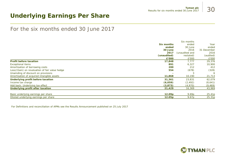## **Underlying Earnings Per Share**

#### For the six months ended 30 June 2017

|                                                |                    | Six months        |             |
|------------------------------------------------|--------------------|-------------------|-------------|
|                                                | Six months         | ended             | Year        |
|                                                | ended              | 30 June           | ended       |
|                                                | 30 June            | 2016              | 31 December |
|                                                | 2017               | (unaudited and    | 2016        |
|                                                | (unaudited)        | restated)         | (audited)   |
|                                                | £'000              | £'000             | £'000       |
| <b>Profit before taxation</b>                  | 17,848             | 7,777             | 29,376      |
| Exceptional items                              | 891                | 6,327             | 10,900      |
| Amortisation of borrowing costs                | 200                | 212               | 412         |
| Loss/(Gain) on revaluation of fair value hedge | 554                | (678)             | (328)       |
| Unwinding of discount on provisions            |                    | 3                 | 6           |
| Amortisation of acquired intangible assets     | 11,868             | 10,190            | 21,713      |
| Underlying profit before taxation              | 31,361             | 23,831            | 62,079      |
| Income tax charge                              | (6,059)            | (2, 492)          | (8,641)     |
| Add back: Underlying tax effect                | (3,873)            | (4,970)           | (9, 469)    |
| Underlying profit after taxation               | 21,429             | 16,369            | 43,969      |
| Basic underlying earnings per share            | 12.09 <sub>p</sub> | 9.69 <sub>p</sub> | 25.41p      |
| Diluted underlying earnings per share          | 12.05p             | 9.67p             | 25.31p      |

For Definitions and reconciliation of APMs see the Results Announcement published on 25 July 2017